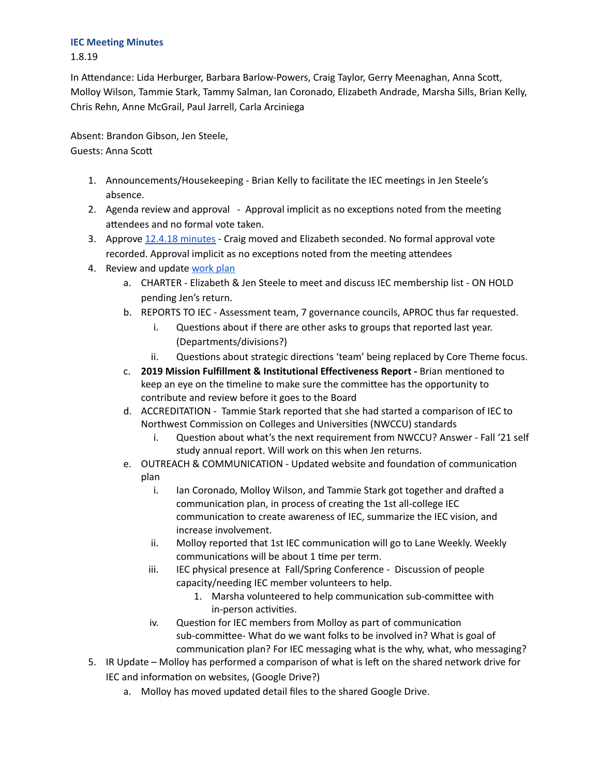## **IEC Meeting Minutes**

1.8.19

In Attendance: Lida Herburger, Barbara Barlow-Powers, Craig Taylor, Gerry Meenaghan, Anna Scott, Molloy Wilson, Tammie Stark, Tammy Salman, Ian Coronado, Elizabeth Andrade, Marsha Sills, Brian Kelly, Chris Rehn, Anne McGrail, Paul Jarrell, Carla Arciniega

Absent: Brandon Gibson, Jen Steele, Guests: Anna Sco

- 1. Announcements/Housekeeping Brian Kelly to facilitate the IEC meetings in Jen Steele's absence.
- 2. Agenda review and approval Approval implicit as no exceptions noted from the meeting attendees and no formal vote taken.
- 3. Approve 12.4.18 [minutes](https://drive.google.com/open?id=1NU10Fi5EDG5KJWpyXMVsHSKaEvI_ilU8O1kfztqxVL8) Craig moved and Elizabeth seconded. No formal approval vote recorded. Approval implicit as no exceptions noted from the meeting attendees
- 4. Review and update [work](https://drive.google.com/open?id=1Nk2t36e0rNSTt2atVgbYfa0BXqUD-0JncJEzNeyBYn0) plan
	- a. CHARTER Elizabeth & Jen Steele to meet and discuss IEC membership list ON HOLD pending Jen's return.
	- b. REPORTS TO IEC Assessment team, 7 governance councils, APROC thus far requested.
		- i. Questions about if there are other asks to groups that reported last year. (Departments/divisions?)
		- ii. Questions about strategic directions 'team' being replaced by Core Theme focus.
	- c. **2019 Mission Fulfillment & Institutional Effectiveness Report -** Brian menoned to keep an eye on the timeline to make sure the committee has the opportunity to contribute and review before it goes to the Board
	- d. ACCREDITATION Tammie Stark reported that she had started a comparison of IEC to Northwest Commission on Colleges and Universities (NWCCU) standards
		- i. Question about what's the next requirement from NWCCU? Answer Fall '21 self study annual report. Will work on this when Jen returns.
	- e. OUTREACH & COMMUNICATION Updated website and foundation of communication plan
		- i. Ian Coronado, Molloy Wilson, and Tammie Stark got together and drafted a communication plan, in process of creating the 1st all-college IEC communication to create awareness of IEC, summarize the IEC vision, and increase involvement.
		- ii. Molloy reported that 1st IEC communication will go to Lane Weekly. Weekly communications will be about 1 time per term.
		- iii. IEC physical presence at Fall/Spring Conference Discussion of people capacity/needing IEC member volunteers to help.
			- 1. Marsha volunteered to help communication sub-committee with in-person activities.
		- iv. Question for IEC members from Molloy as part of communication sub-committee- What do we want folks to be involved in? What is goal of communication plan? For IEC messaging what is the why, what, who messaging?
- 5. IR Update Molloy has performed a comparison of what is left on the shared network drive for IEC and information on websites, (Google Drive?)
	- a. Molloy has moved updated detail files to the shared Google Drive.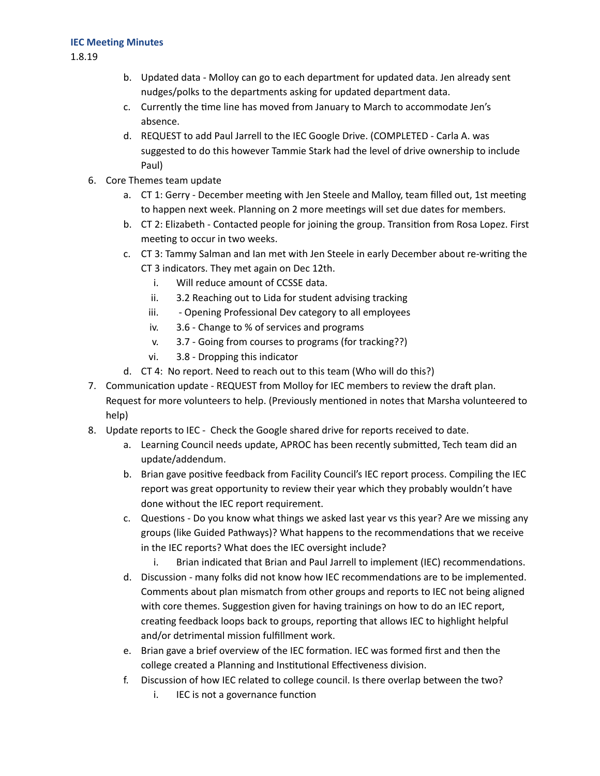## **IEC Meeting Minutes**

1.8.19

- b. Updated data Molloy can go to each department for updated data. Jen already sent nudges/polks to the departments asking for updated department data.
- c. Currently the time line has moved from January to March to accommodate Jen's absence.
- d. REQUEST to add Paul Jarrell to the IEC Google Drive. (COMPLETED Carla A. was suggested to do this however Tammie Stark had the level of drive ownership to include Paul)
- 6. Core Themes team update
	- a. CT 1: Gerry December meeting with Jen Steele and Malloy, team filled out, 1st meeting to happen next week. Planning on 2 more meetings will set due dates for members.
	- b. CT 2: Elizabeth Contacted people for joining the group. Transition from Rosa Lopez. First meeting to occur in two weeks.
	- c. CT 3: Tammy Salman and Ian met with Jen Steele in early December about re-writing the CT 3 indicators. They met again on Dec 12th.
		- i. Will reduce amount of CCSSE data.
		- ii. 3.2 Reaching out to Lida for student advising tracking
		- iii. Opening Professional Dev category to all employees
		- iv. 3.6 Change to % of services and programs
		- v. 3.7 Going from courses to programs (for tracking??)
		- vi. 3.8 Dropping this indicator
	- d. CT 4: No report. Need to reach out to this team (Who will do this?)
- 7. Communication update REQUEST from Molloy for IEC members to review the draft plan. Request for more volunteers to help. (Previously mentioned in notes that Marsha volunteered to help)
- 8. Update reports to IEC Check the Google shared drive for reports received to date.
	- a. Learning Council needs update, APROC has been recently submitted, Tech team did an update/addendum.
	- b. Brian gave positive feedback from Facility Council's IEC report process. Compiling the IEC report was great opportunity to review their year which they probably wouldn't have done without the IEC report requirement.
	- c. Questions Do you know what things we asked last year vs this year? Are we missing any groups (like Guided Pathways)? What happens to the recommendations that we receive in the IEC reports? What does the IEC oversight include?
		- i. Brian indicated that Brian and Paul Jarrell to implement (IEC) recommendations.
	- d. Discussion many folks did not know how IEC recommendations are to be implemented. Comments about plan mismatch from other groups and reports to IEC not being aligned with core themes. Suggestion given for having trainings on how to do an IEC report, creating feedback loops back to groups, reporting that allows IEC to highlight helpful and/or detrimental mission fulfillment work.
	- e. Brian gave a brief overview of the IEC formation. IEC was formed first and then the college created a Planning and Institutional Effectiveness division.
	- f. Discussion of how IEC related to college council. Is there overlap between the two?
		- i. IEC is not a governance function